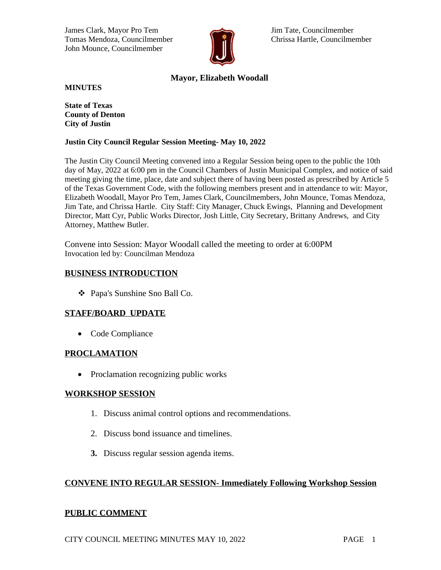James Clark, Mayor Pro Tem Jim Tate, Councilmember Tomas Mendoza, Councilmember **Chrissa Hartle, Councilmember** Chrissa Hartle, Councilmember John Mounce, Councilmember



# **Mayor, Elizabeth Woodall**

**MINUTES**

**State of Texas County of Denton City of Justin**

#### **Justin City Council Regular Session Meeting- May 10, 2022**

The Justin City Council Meeting convened into a Regular Session being open to the public the 10th day of May, 2022 at 6:00 pm in the Council Chambers of Justin Municipal Complex, and notice of said meeting giving the time, place, date and subject there of having been posted as prescribed by Article 5 of the Texas Government Code, with the following members present and in attendance to wit: Mayor, Elizabeth Woodall, Mayor Pro Tem, James Clark, Councilmembers, John Mounce, Tomas Mendoza, Jim Tate, and Chrissa Hartle. City Staff: City Manager, Chuck Ewings, Planning and Development Director, Matt Cyr, Public Works Director, Josh Little, City Secretary, Brittany Andrews, and City Attorney, Matthew Butler.

Convene into Session: Mayor Woodall called the meeting to order at 6:00PM Invocation led by: Councilman Mendoza

### **BUSINESS INTRODUCTION**

Papa's Sunshine Sno Ball Co.

# **STAFF/BOARD UPDATE**

• Code Compliance

#### **PROCLAMATION**

• Proclamation recognizing public works

#### **WORKSHOP SESSION**

- 1. Discuss animal control options and recommendations.
- 2. Discuss bond issuance and timelines.
- **3.** Discuss regular session agenda items.

# **CONVENE INTO REGULAR SESSION- Immediately Following Workshop Session**

# **PUBLIC COMMENT**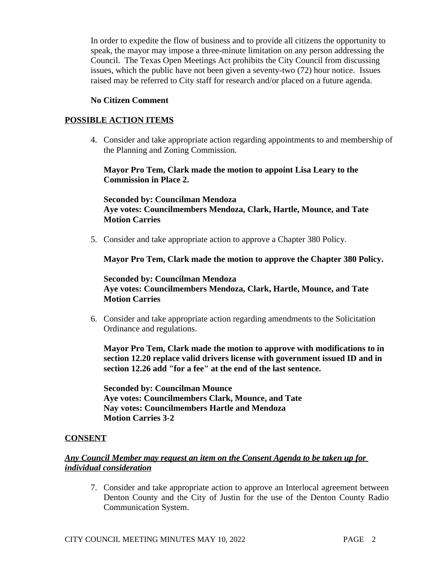In order to expedite the flow of business and to provide all citizens the opportunity to speak, the mayor may impose a three-minute limitation on any person addressing the Council. The Texas Open Meetings Act prohibits the City Council from discussing issues, which the public have not been given a seventy-two (72) hour notice. Issues raised may be referred to City staff for research and/or placed on a future agenda.

#### **No Citizen Comment**

### **POSSIBLE ACTION ITEMS**

4. Consider and take appropriate action regarding appointments to and membership of the Planning and Zoning Commission.

#### **Mayor Pro Tem, Clark made the motion to appoint Lisa Leary to the Commission in Place 2.**

### **Seconded by: Councilman Mendoza Aye votes: Councilmembers Mendoza, Clark, Hartle, Mounce, and Tate Motion Carries**

5. Consider and take appropriate action to approve a Chapter 380 Policy.

**Mayor Pro Tem, Clark made the motion to approve the Chapter 380 Policy.**

### **Seconded by: Councilman Mendoza Aye votes: Councilmembers Mendoza, Clark, Hartle, Mounce, and Tate Motion Carries**

6. Consider and take appropriate action regarding amendments to the Solicitation Ordinance and regulations.

**Mayor Pro Tem, Clark made the motion to approve with modifications to in section 12.20 replace valid drivers license with government issued ID and in section 12.26 add "for a fee" at the end of the last sentence.**

**Seconded by: Councilman Mounce Aye votes: Councilmembers Clark, Mounce, and Tate Nay votes: Councilmembers Hartle and Mendoza Motion Carries 3-2**

# **CONSENT**

# *Any Council Member may request an item on the Consent Agenda to be taken up for individual consideration*

7. Consider and take appropriate action to approve an Interlocal agreement between Denton County and the City of Justin for the use of the Denton County Radio Communication System.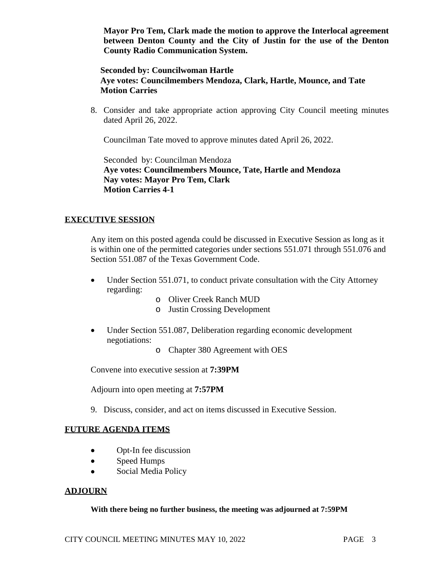**Mayor Pro Tem, Clark made the motion to approve the Interlocal agreement between Denton County and the City of Justin for the use of the Denton County Radio Communication System.** 

### **Seconded by: Councilwoman Hartle Aye votes: Councilmembers Mendoza, Clark, Hartle, Mounce, and Tate Motion Carries**

8. Consider and take appropriate action approving City Council meeting minutes dated April 26, 2022.

Councilman Tate moved to approve minutes dated April 26, 2022.

Seconded by: Councilman Mendoza **Aye votes: Councilmembers Mounce, Tate, Hartle and Mendoza Nay votes: Mayor Pro Tem, Clark Motion Carries 4-1**

# **EXECUTIVE SESSION**

Any item on this posted agenda could be discussed in Executive Session as long as it is within one of the permitted categories under sections 551.071 through 551.076 and Section 551.087 of the Texas Government Code.

- Under Section 551.071, to conduct private consultation with the City Attorney regarding:
	- o Oliver Creek Ranch MUD
	- o Justin Crossing Development
- Under Section 551.087, Deliberation regarding economic development negotiations:
	- o Chapter 380 Agreement with OES

Convene into executive session at **7:39PM**

Adjourn into open meeting at **7:57PM**

9. Discuss, consider, and act on items discussed in Executive Session.

# **FUTURE AGENDA ITEMS**

- Opt-In fee discussion
- Speed Humps
- Social Media Policy

# **ADJOURN**

#### **With there being no further business, the meeting was adjourned at 7:59PM**